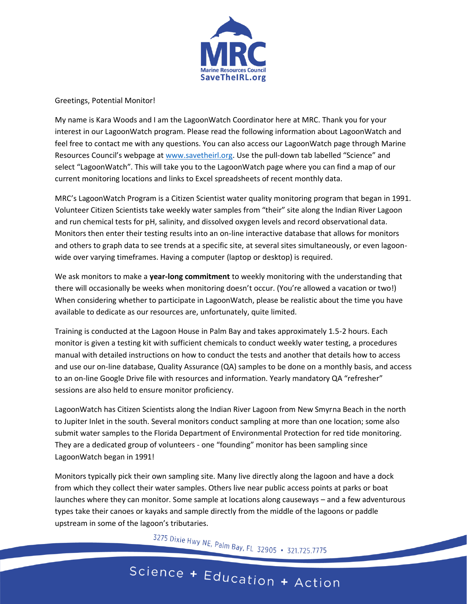

## Greetings, Potential Monitor!

My name is Kara Woods and I am the LagoonWatch Coordinator here at MRC. Thank you for your interest in our LagoonWatch program. Please read the following information about LagoonWatch and feel free to contact me with any questions. You can also access our LagoonWatch page through Marine Resources Council's webpage at [www.savetheirl.org.](http://www.savetheirl.org/) Use the pull-down tab labelled "Science" and select "LagoonWatch". This will take you to the LagoonWatch page where you can find a map of our current monitoring locations and links to Excel spreadsheets of recent monthly data.

MRC's LagoonWatch Program is a Citizen Scientist water quality monitoring program that began in 1991. Volunteer Citizen Scientists take weekly water samples from "their" site along the Indian River Lagoon and run chemical tests for pH, salinity, and dissolved oxygen levels and record observational data. Monitors then enter their testing results into an on-line interactive database that allows for monitors and others to graph data to see trends at a specific site, at several sites simultaneously, or even lagoonwide over varying timeframes. Having a computer (laptop or desktop) is required.

We ask monitors to make a **year-long commitment** to weekly monitoring with the understanding that there will occasionally be weeks when monitoring doesn't occur. (You're allowed a vacation or two!) When considering whether to participate in LagoonWatch, please be realistic about the time you have available to dedicate as our resources are, unfortunately, quite limited.

Training is conducted at the Lagoon House in Palm Bay and takes approximately 1.5-2 hours. Each monitor is given a testing kit with sufficient chemicals to conduct weekly water testing, a procedures manual with detailed instructions on how to conduct the tests and another that details how to access and use our on-line database, Quality Assurance (QA) samples to be done on a monthly basis, and access to an on-line Google Drive file with resources and information. Yearly mandatory QA "refresher" sessions are also held to ensure monitor proficiency.

LagoonWatch has Citizen Scientists along the Indian River Lagoon from New Smyrna Beach in the north to Jupiter Inlet in the south. Several monitors conduct sampling at more than one location; some also submit water samples to the Florida Department of Environmental Protection for red tide monitoring. They are a dedicated group of volunteers - one "founding" monitor has been sampling since LagoonWatch began in 1991!

Monitors typically pick their own sampling site. Many live directly along the lagoon and have a dock from which they collect their water samples. Others live near public access points at parks or boat launches where they can monitor. Some sample at locations along causeways – and a few adventurous types take their canoes or kayaks and sample directly from the middle of the lagoons or paddle upstream in some of the lagoon's tributaries.

3275 Dixie Hwy NE, Palm Bay, FL 32905 • 321.725.7775

## Science + Education + Action